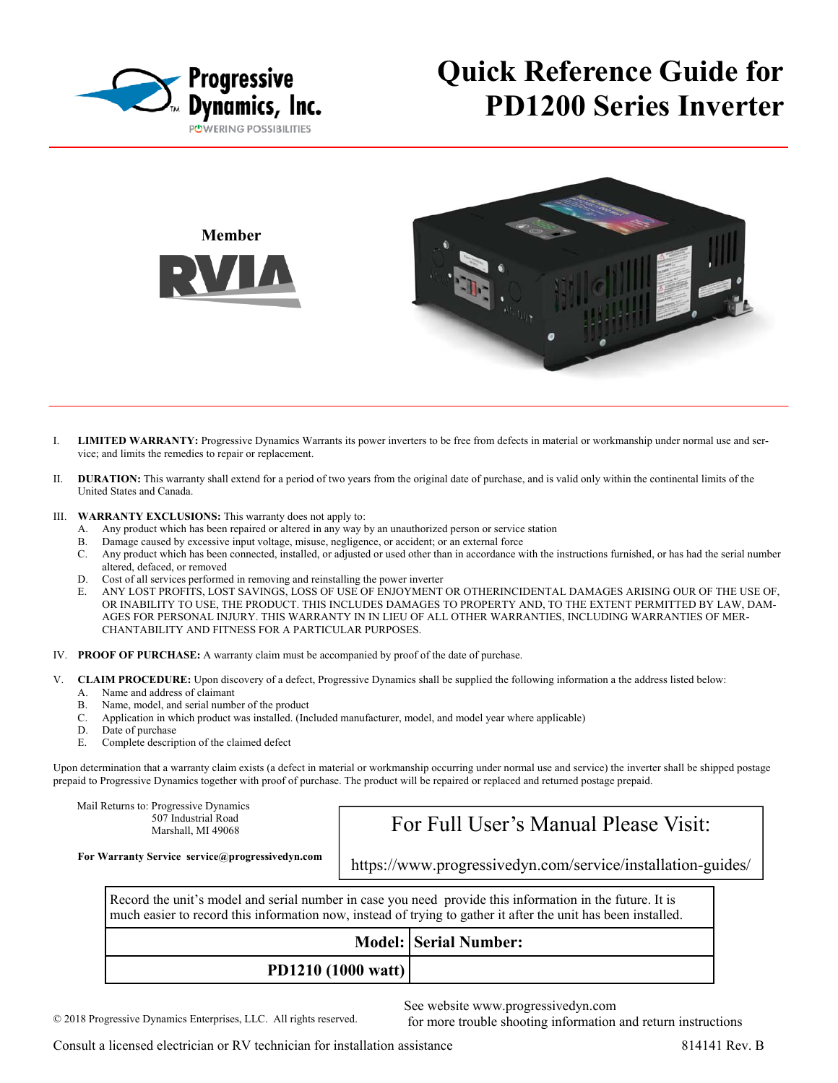

# **Quick Reference Guide for PD1200 Series Inverter**



- I. **LIMITED WARRANTY:** Progressive Dynamics Warrants its power inverters to be free from defects in material or workmanship under normal use and service; and limits the remedies to repair or replacement.
- II. **DURATION:** This warranty shall extend for a period of two years from the original date of purchase, and is valid only within the continental limits of the United States and Canada.
- III. **WARRANTY EXCLUSIONS:** This warranty does not apply to:
	- A. Any product which has been repaired or altered in any way by an unauthorized person or service station
	- B. Damage caused by excessive input voltage, misuse, negligence, or accident; or an external force
	- C. Any product which has been connected, installed, or adjusted or used other than in accordance with the instructions furnished, or has had the serial number altered, defaced, or removed
	- D. Cost of all services performed in removing and reinstalling the power inverter
	- E. ANY LOST PROFITS, LOST SAVINGS, LOSS OF USE OF ENJOYMENT OR OTHERINCIDENTAL DAMAGES ARISING OUR OF THE USE OF, OR INABILITY TO USE, THE PRODUCT. THIS INCLUDES DAMAGES TO PROPERTY AND, TO THE EXTENT PERMITTED BY LAW, DAM-AGES FOR PERSONAL INJURY. THIS WARRANTY IN IN LIEU OF ALL OTHER WARRANTIES, INCLUDING WARRANTIES OF MER-CHANTABILITY AND FITNESS FOR A PARTICULAR PURPOSES.
- IV. **PROOF OF PURCHASE:** A warranty claim must be accompanied by proof of the date of purchase.
- V. **CLAIM PROCEDURE:** Upon discovery of a defect, Progressive Dynamics shall be supplied the following information a the address listed below:
	- A. Name and address of claimant
	- B. Name, model, and serial number of the product
	- C. Application in which product was installed. (Included manufacturer, model, and model year where applicable)
	- D. Date of purchase
	- E. Complete description of the claimed defect

Upon determination that a warranty claim exists (a defect in material or workmanship occurring under normal use and service) the inverter shall be shipped postage prepaid to Progressive Dynamics together with proof of purchase. The product will be repaired or replaced and returned postage prepaid.

Mail Returns to: Progressive Dynamics 507 Industrial Road Marshall, MI 49068

### For Full User's Manual Please Visit:

**For Warranty Service service@progressivedyn.com** 

https://www.progressivedyn.com/service/installation-guides/

Record the unit's model and serial number in case you need provide this information in the future. It is much easier to record this information now, instead of trying to gather it after the unit has been installed.

|                           | <b>Model: Serial Number:</b> |
|---------------------------|------------------------------|
| <b>PD1210 (1000 watt)</b> |                              |

See website www.progressivedyn.com

for more trouble shooting information and return instructions

© 2018 Progressive Dynamics Enterprises, LLC. All rights reserved.

Consult a licensed electrician or RV technician for installation assistance 814141 Rev. B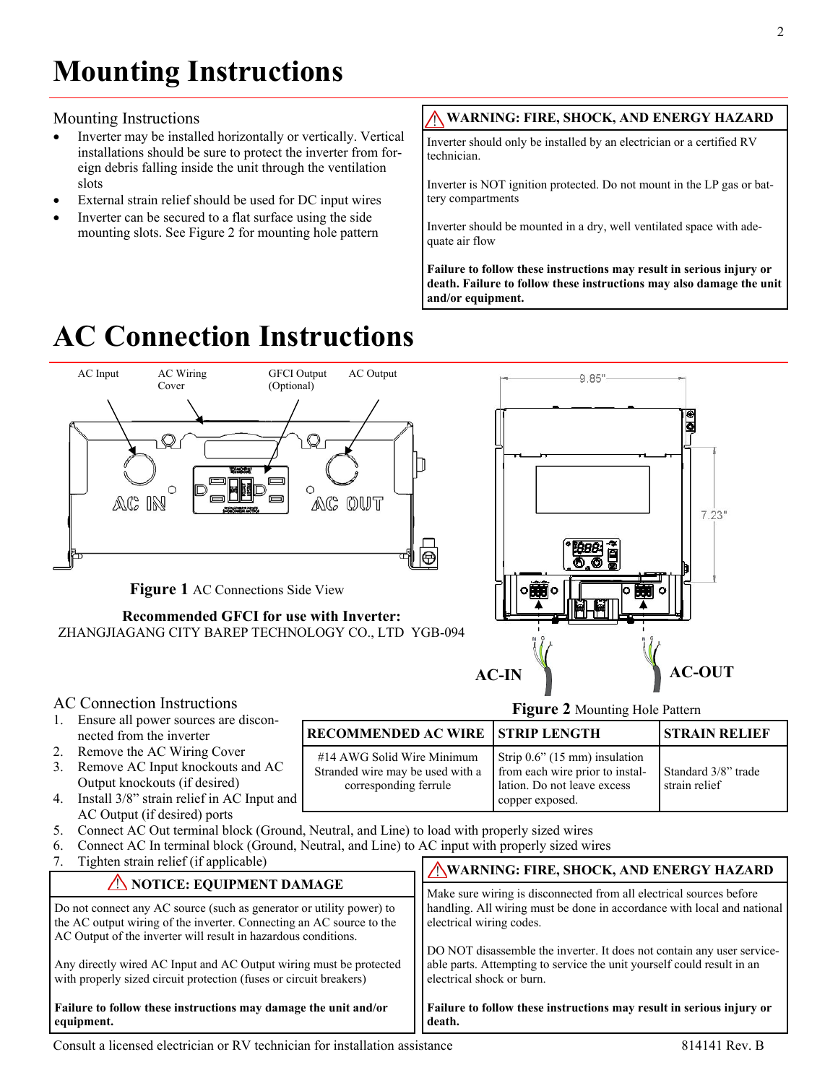#### Mounting Instructions

- Inverter may be installed horizontally or vertically. Vertical installations should be sure to protect the inverter from foreign debris falling inside the unit through the ventilation slots
- External strain relief should be used for DC input wires
- Inverter can be secured to a flat surface using the side mounting slots. See Figure 2 for mounting hole pattern

### **WARNING: FIRE, SHOCK, AND ENERGY HAZARD**

Inverter should only be installed by an electrician or a certified RV technician.

Inverter is NOT ignition protected. Do not mount in the LP gas or battery compartments

Inverter should be mounted in a dry, well ventilated space with adequate air flow

**Failure to follow these instructions may result in serious injury or death. Failure to follow these instructions may also damage the unit and/or equipment.**

# **AC Connection Instructions**



**death.** 

with properly sized circuit protection (fuses or circuit breakers)

#### **Failure to follow these instructions may damage the unit and/or equipment.**

**Failure to follow these instructions may result in serious injury or**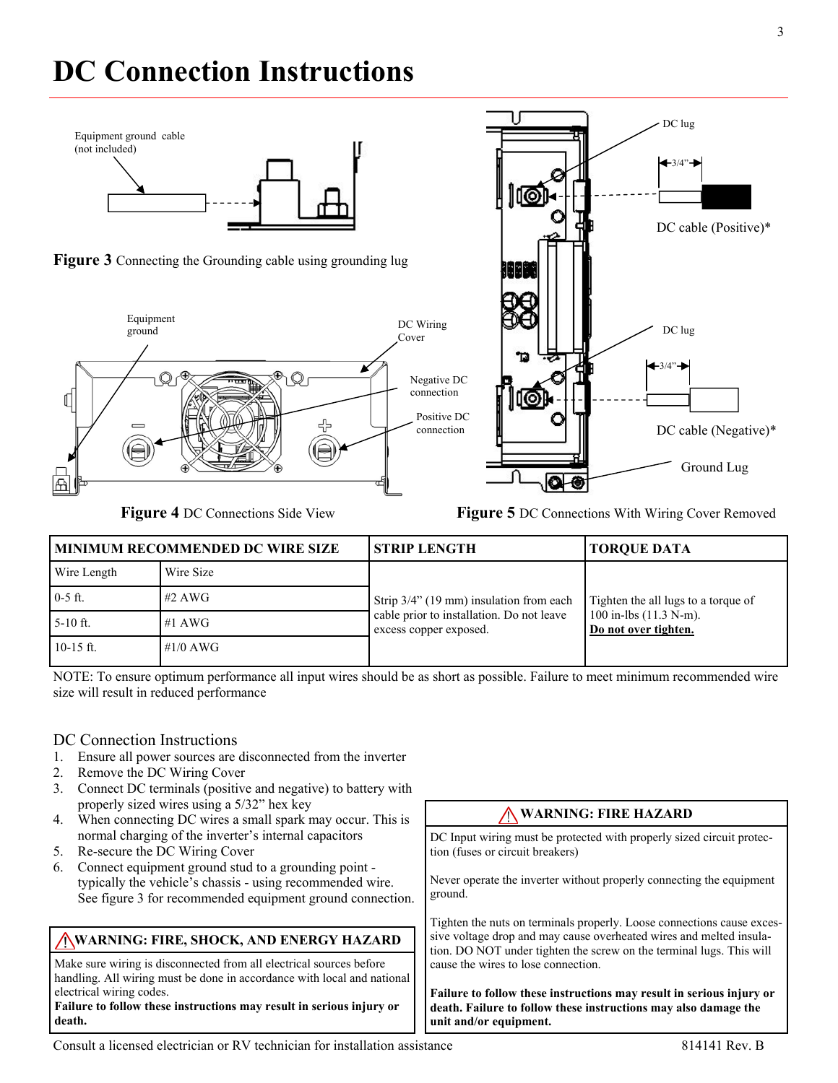# **DC Connection Instructions**









**Figure 4** DC Connections Side View **Figure 5** DC Connections With Wiring Cover Removed

| <b>MINIMUM RECOMMENDED DC WIRE SIZE</b> |             | <b>STRIP LENGTH</b>                                                                                            | <b>TORQUE DATA</b>                                                                       |
|-----------------------------------------|-------------|----------------------------------------------------------------------------------------------------------------|------------------------------------------------------------------------------------------|
| Wire Length                             | Wire Size   |                                                                                                                |                                                                                          |
| $0-5$ ft.                               | $#2$ AWG    | Strip 3/4" (19 mm) insulation from each<br>cable prior to installation. Do not leave<br>excess copper exposed. | Tighten the all lugs to a torque of<br>100 in-lbs $(11.3 N-m)$ .<br>Do not over tighten. |
| $5-10$ ft.                              | #1 AWG      |                                                                                                                |                                                                                          |
| $10-15$ ft.                             | # $1/0$ AWG |                                                                                                                |                                                                                          |

NOTE: To ensure optimum performance all input wires should be as short as possible. Failure to meet minimum recommended wire size will result in reduced performance

#### DC Connection Instructions

- 1. Ensure all power sources are disconnected from the inverter
- 2. Remove the DC Wiring Cover
- 3. Connect DC terminals (positive and negative) to battery with properly sized wires using a 5/32" hex key
- 4. When connecting DC wires a small spark may occur. This is normal charging of the inverter's internal capacitors
- 5. Re-secure the DC Wiring Cover
- 6. Connect equipment ground stud to a grounding point typically the vehicle's chassis - using recommended wire. See figure 3 for recommended equipment ground connection.

#### **WARNING: FIRE, SHOCK, AND ENERGY HAZARD**

Make sure wiring is disconnected from all electrical sources before handling. All wiring must be done in accordance with local and national electrical wiring codes.

#### **Failure to follow these instructions may result in serious injury or death.**

#### **WARNING: FIRE HAZARD**

DC Input wiring must be protected with properly sized circuit protection (fuses or circuit breakers)

Never operate the inverter without properly connecting the equipment ground.

Tighten the nuts on terminals properly. Loose connections cause excessive voltage drop and may cause overheated wires and melted insulation. DO NOT under tighten the screw on the terminal lugs. This will cause the wires to lose connection.

**Failure to follow these instructions may result in serious injury or death. Failure to follow these instructions may also damage the unit and/or equipment.**